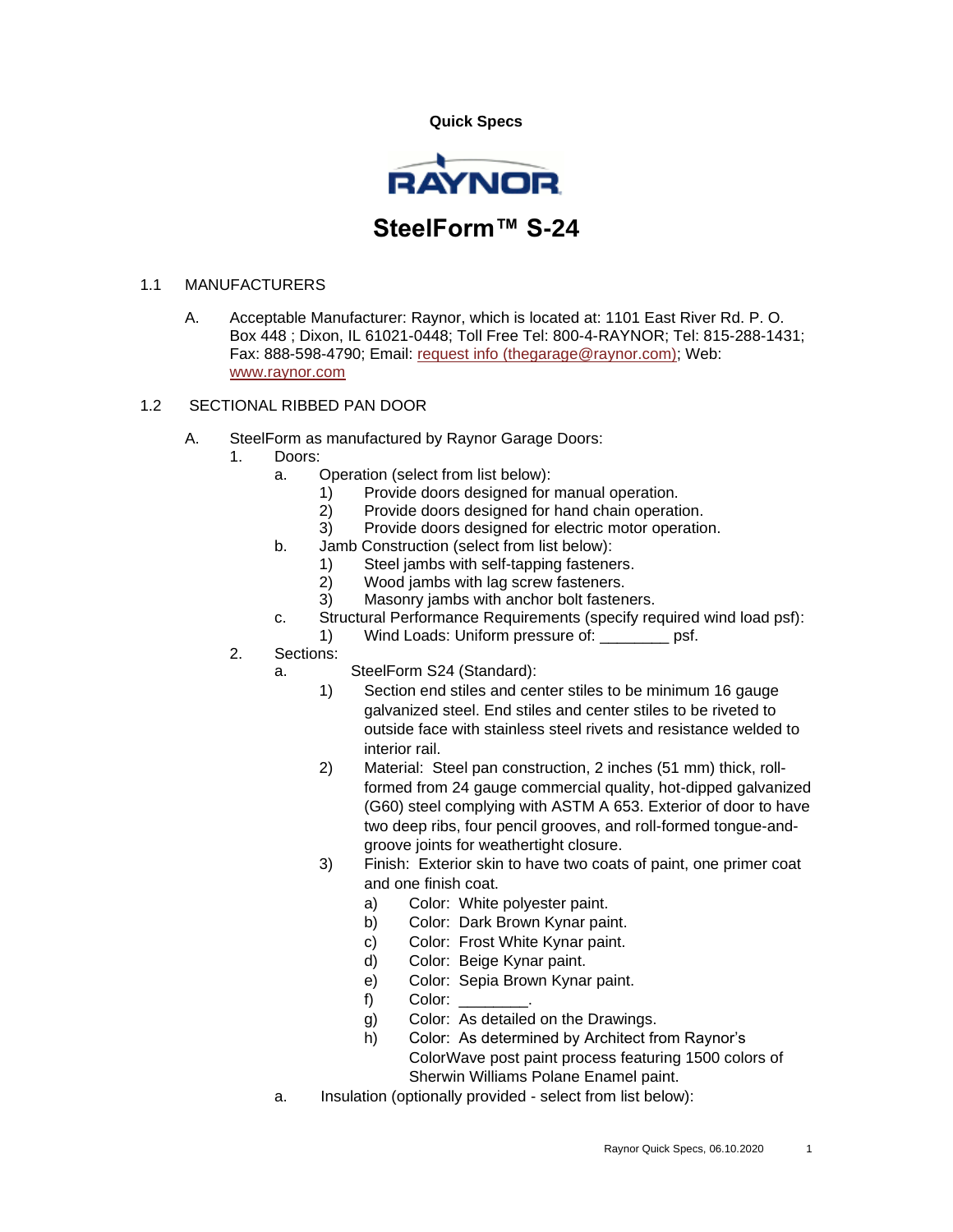**Quick Specs** 



## 1.1 MANUFACTURERS

A. Acceptable Manufacturer: Raynor, which is located at: 1101 East River Rd. P. O. Box 448 ; Dixon, IL 61021-0448; Toll Free Tel: 800-4-RAYNOR; Tel: 815-288-1431; Fax: 888-598-4790; Email: [request info \(thegarage@raynor.com\);](http://admin.arcat.com/users.pl?action=UserEmail&company=Raynor&coid=35092&rep=&fax=888-598-4790&message=RE:%20Spec%20Question%20(08360rgd):%20%20&mf=) Web: [www.raynor.com](http://www.raynor.com/)

## 1.2 SECTIONAL RIBBED PAN DOOR

- A. SteelForm as manufactured by Raynor Garage Doors:
	- 1. Doors:
		- a. Operation (select from list below):
			- 1) Provide doors designed for manual operation.
			- 2) Provide doors designed for hand chain operation.
			- 3) Provide doors designed for electric motor operation.
		- b. Jamb Construction (select from list below):
			-
			- 1) Steel jambs with self-tapping fasteners.<br>2) Wood jambs with lag screw fasteners. Wood jambs with lag screw fasteners.
			- 3) Masonry jambs with anchor bolt fasteners.
		- c. Structural Performance Requirements (specify required wind load psf):
		- 1) Wind Loads: Uniform pressure of: example psf.
	- 2. Sections:
		- a. SteelForm S24 (Standard):
			- 1) Section end stiles and center stiles to be minimum 16 gauge galvanized steel. End stiles and center stiles to be riveted to outside face with stainless steel rivets and resistance welded to interior rail.
			- 2) Material: Steel pan construction, 2 inches (51 mm) thick, rollformed from 24 gauge commercial quality, hot-dipped galvanized (G60) steel complying with ASTM A 653. Exterior of door to have two deep ribs, four pencil grooves, and roll-formed tongue-andgroove joints for weathertight closure.
			- 3) Finish: Exterior skin to have two coats of paint, one primer coat and one finish coat.
				- a) Color: White polyester paint.
				- b) Color: Dark Brown Kynar paint.
				- c) Color: Frost White Kynar paint.
				- d) Color: Beige Kynar paint.
				- e) Color: Sepia Brown Kynar paint.
				- f) Color:
				- g) Color: As detailed on the Drawings.
				- h) Color: As determined by Architect from Raynor's ColorWave post paint process featuring 1500 colors of Sherwin Williams Polane Enamel paint.
		- a. Insulation (optionally provided select from list below):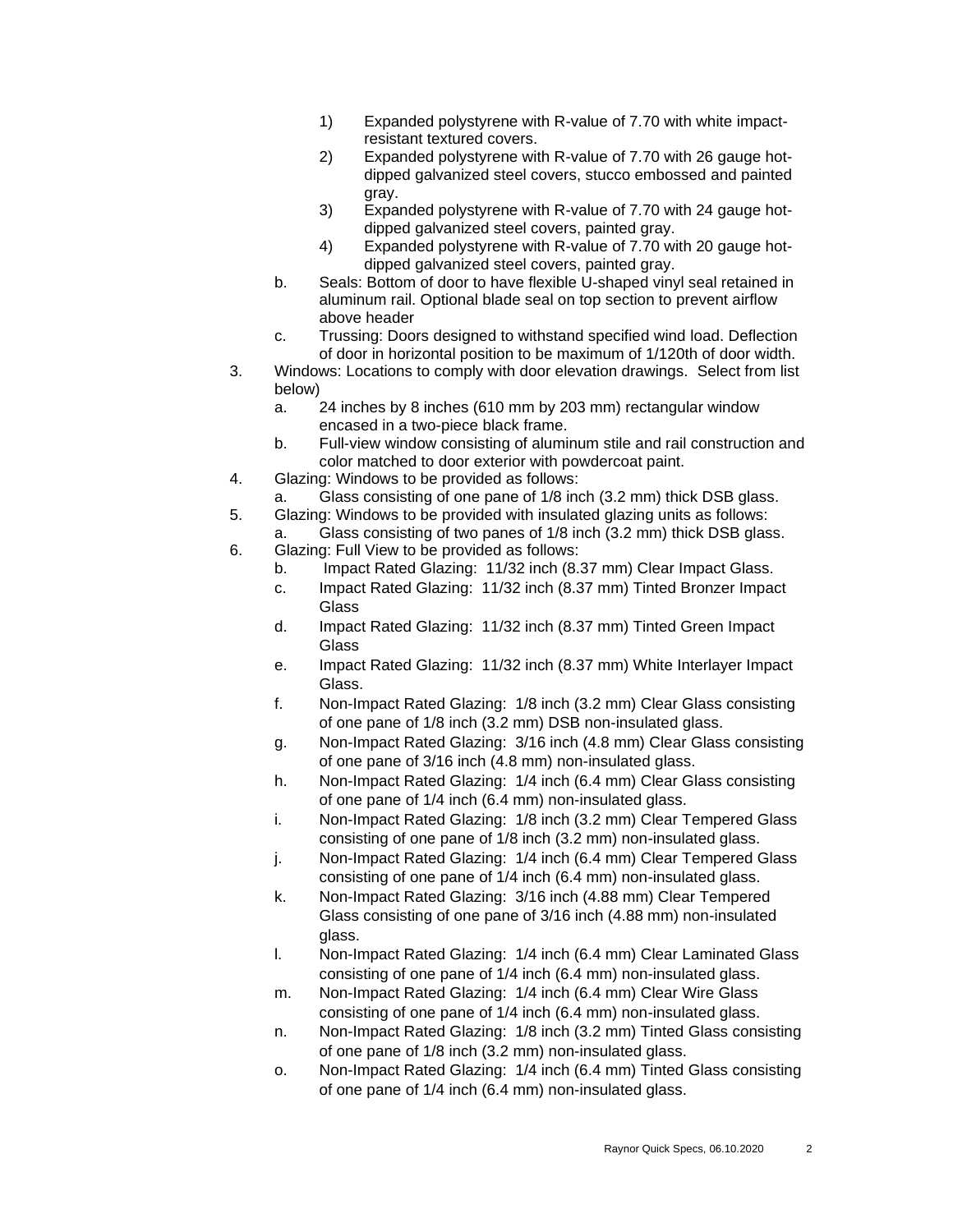- 1) Expanded polystyrene with R-value of 7.70 with white impactresistant textured covers.
- 2) Expanded polystyrene with R-value of 7.70 with 26 gauge hotdipped galvanized steel covers, stucco embossed and painted gray.
- 3) Expanded polystyrene with R-value of 7.70 with 24 gauge hotdipped galvanized steel covers, painted gray.
- 4) Expanded polystyrene with R-value of 7.70 with 20 gauge hotdipped galvanized steel covers, painted gray.
- b. Seals: Bottom of door to have flexible U-shaped vinyl seal retained in aluminum rail. Optional blade seal on top section to prevent airflow above header
- c. Trussing: Doors designed to withstand specified wind load. Deflection of door in horizontal position to be maximum of 1/120th of door width.
- 3. Windows: Locations to comply with door elevation drawings. Select from list below)
	- a. 24 inches by 8 inches (610 mm by 203 mm) rectangular window encased in a two-piece black frame.
	- b. Full-view window consisting of aluminum stile and rail construction and color matched to door exterior with powdercoat paint.
- 4. Glazing: Windows to be provided as follows:
	- a. Glass consisting of one pane of 1/8 inch (3.2 mm) thick DSB glass.

5. Glazing: Windows to be provided with insulated glazing units as follows: a. Glass consisting of two panes of 1/8 inch (3.2 mm) thick DSB glass.

- 6. Glazing: Full View to be provided as follows:
	- b. Impact Rated Glazing: 11/32 inch (8.37 mm) Clear Impact Glass.
	- c. Impact Rated Glazing: 11/32 inch (8.37 mm) Tinted Bronzer Impact **Glass**
	- d. Impact Rated Glazing: 11/32 inch (8.37 mm) Tinted Green Impact **Glass**
	- e. Impact Rated Glazing: 11/32 inch (8.37 mm) White Interlayer Impact Glass.
	- f. Non-Impact Rated Glazing: 1/8 inch (3.2 mm) Clear Glass consisting of one pane of 1/8 inch (3.2 mm) DSB non-insulated glass.
	- g. Non-Impact Rated Glazing: 3/16 inch (4.8 mm) Clear Glass consisting of one pane of 3/16 inch (4.8 mm) non-insulated glass.
	- h. Non-Impact Rated Glazing: 1/4 inch (6.4 mm) Clear Glass consisting of one pane of 1/4 inch (6.4 mm) non-insulated glass.
	- i. Non-Impact Rated Glazing: 1/8 inch (3.2 mm) Clear Tempered Glass consisting of one pane of 1/8 inch (3.2 mm) non-insulated glass.
	- j. Non-Impact Rated Glazing: 1/4 inch (6.4 mm) Clear Tempered Glass consisting of one pane of 1/4 inch (6.4 mm) non-insulated glass.
	- k. Non-Impact Rated Glazing: 3/16 inch (4.88 mm) Clear Tempered Glass consisting of one pane of 3/16 inch (4.88 mm) non-insulated glass.
	- l. Non-Impact Rated Glazing: 1/4 inch (6.4 mm) Clear Laminated Glass consisting of one pane of 1/4 inch (6.4 mm) non-insulated glass.
	- m. Non-Impact Rated Glazing: 1/4 inch (6.4 mm) Clear Wire Glass consisting of one pane of 1/4 inch (6.4 mm) non-insulated glass.
	- n. Non-Impact Rated Glazing: 1/8 inch (3.2 mm) Tinted Glass consisting of one pane of 1/8 inch (3.2 mm) non-insulated glass.
	- o. Non-Impact Rated Glazing: 1/4 inch (6.4 mm) Tinted Glass consisting of one pane of 1/4 inch (6.4 mm) non-insulated glass.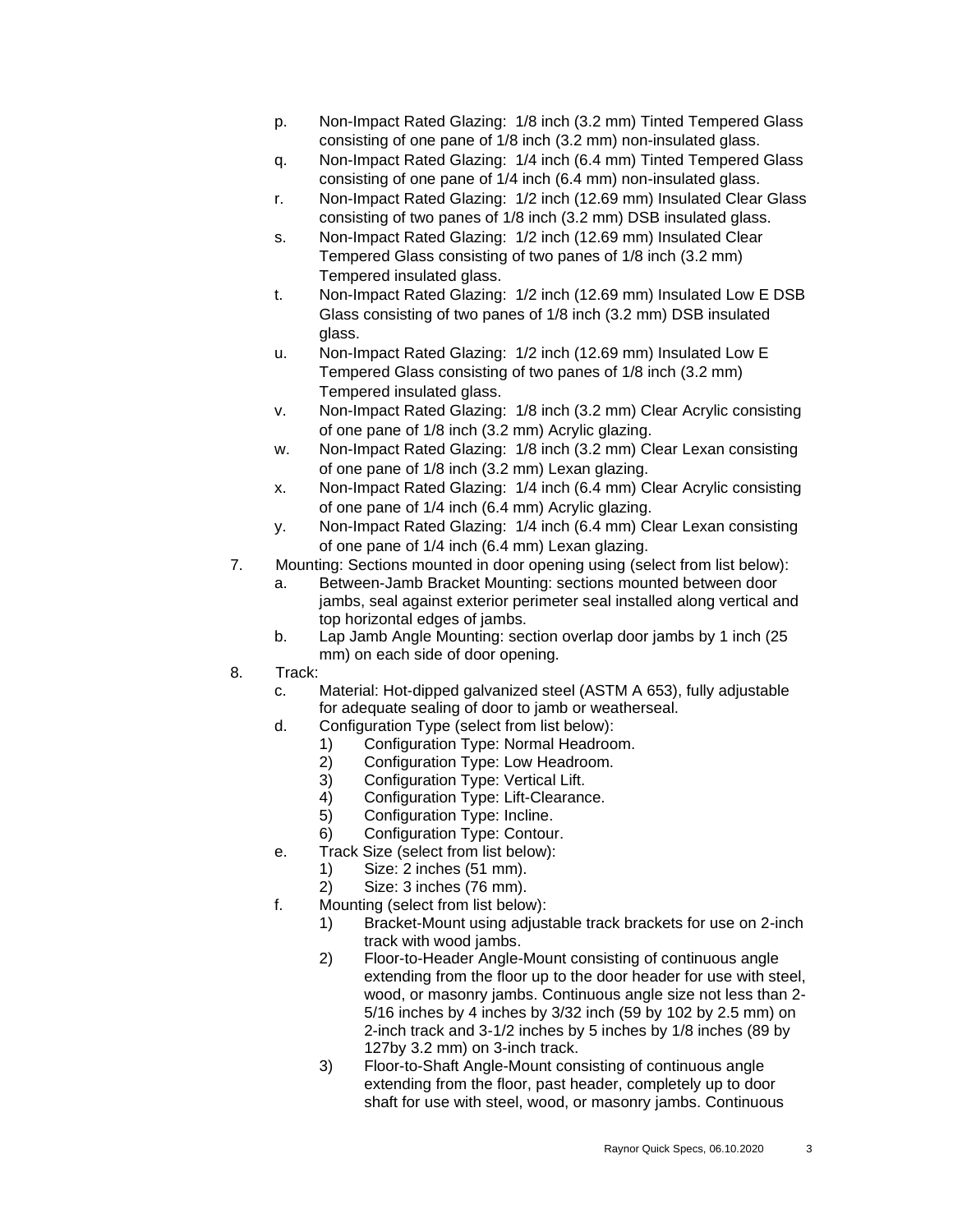- p. Non-Impact Rated Glazing: 1/8 inch (3.2 mm) Tinted Tempered Glass consisting of one pane of 1/8 inch (3.2 mm) non-insulated glass.
- q. Non-Impact Rated Glazing: 1/4 inch (6.4 mm) Tinted Tempered Glass consisting of one pane of 1/4 inch (6.4 mm) non-insulated glass.
- r. Non-Impact Rated Glazing: 1/2 inch (12.69 mm) Insulated Clear Glass consisting of two panes of 1/8 inch (3.2 mm) DSB insulated glass.
- s. Non-Impact Rated Glazing: 1/2 inch (12.69 mm) Insulated Clear Tempered Glass consisting of two panes of 1/8 inch (3.2 mm) Tempered insulated glass.
- t. Non-Impact Rated Glazing: 1/2 inch (12.69 mm) Insulated Low E DSB Glass consisting of two panes of 1/8 inch (3.2 mm) DSB insulated glass.
- u. Non-Impact Rated Glazing: 1/2 inch (12.69 mm) Insulated Low E Tempered Glass consisting of two panes of 1/8 inch (3.2 mm) Tempered insulated glass.
- v. Non-Impact Rated Glazing: 1/8 inch (3.2 mm) Clear Acrylic consisting of one pane of 1/8 inch (3.2 mm) Acrylic glazing.
- w. Non-Impact Rated Glazing: 1/8 inch (3.2 mm) Clear Lexan consisting of one pane of 1/8 inch (3.2 mm) Lexan glazing.
- x. Non-Impact Rated Glazing: 1/4 inch (6.4 mm) Clear Acrylic consisting of one pane of 1/4 inch (6.4 mm) Acrylic glazing.
- y. Non-Impact Rated Glazing: 1/4 inch (6.4 mm) Clear Lexan consisting of one pane of 1/4 inch (6.4 mm) Lexan glazing.
- 7. Mounting: Sections mounted in door opening using (select from list below):
	- a. Between-Jamb Bracket Mounting: sections mounted between door jambs, seal against exterior perimeter seal installed along vertical and top horizontal edges of jambs.
	- b. Lap Jamb Angle Mounting: section overlap door jambs by 1 inch (25 mm) on each side of door opening.
- 8. Track:
	- c. Material: Hot-dipped galvanized steel (ASTM A 653), fully adjustable for adequate sealing of door to jamb or weatherseal.
	- d. Configuration Type (select from list below):
		- 1) Configuration Type: Normal Headroom.
		- 2) Configuration Type: Low Headroom.
		- 3) Configuration Type: Vertical Lift.
		- 4) Configuration Type: Lift-Clearance.
		- 5) Configuration Type: Incline.
		- 6) Configuration Type: Contour.
	- e. Track Size (select from list below):
		- 1) Size: 2 inches (51 mm).
		- 2) Size: 3 inches (76 mm).
	- f. Mounting (select from list below):
		- 1) Bracket-Mount using adjustable track brackets for use on 2-inch track with wood jambs.
		- 2) Floor-to-Header Angle-Mount consisting of continuous angle extending from the floor up to the door header for use with steel, wood, or masonry jambs. Continuous angle size not less than 2- 5/16 inches by 4 inches by 3/32 inch (59 by 102 by 2.5 mm) on 2-inch track and 3-1/2 inches by 5 inches by 1/8 inches (89 by 127by 3.2 mm) on 3-inch track.
		- 3) Floor-to-Shaft Angle-Mount consisting of continuous angle extending from the floor, past header, completely up to door shaft for use with steel, wood, or masonry jambs. Continuous